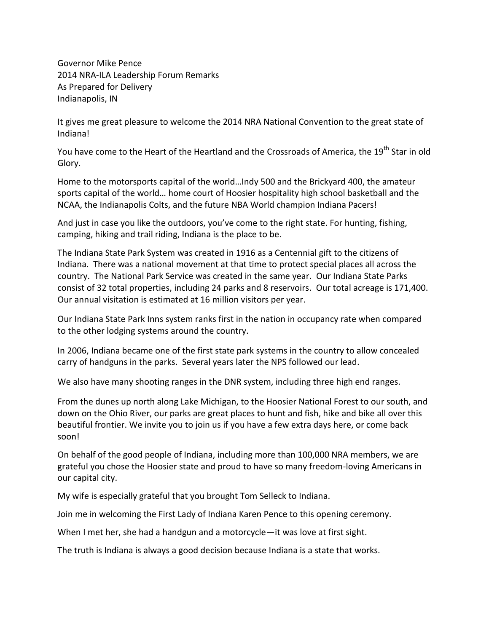Governor Mike Pence 2014 NRA-ILA Leadership Forum Remarks As Prepared for Delivery Indianapolis, IN

It gives me great pleasure to welcome the 2014 NRA National Convention to the great state of Indiana!

You have come to the Heart of the Heartland and the Crossroads of America, the 19<sup>th</sup> Star in old Glory.

Home to the motorsports capital of the world…Indy 500 and the Brickyard 400, the amateur sports capital of the world… home court of Hoosier hospitality high school basketball and the NCAA, the Indianapolis Colts, and the future NBA World champion Indiana Pacers!

And just in case you like the outdoors, you've come to the right state. For hunting, fishing, camping, hiking and trail riding, Indiana is the place to be.

The Indiana State Park System was created in 1916 as a Centennial gift to the citizens of Indiana. There was a national movement at that time to protect special places all across the country. The National Park Service was created in the same year. Our Indiana State Parks consist of 32 total properties, including 24 parks and 8 reservoirs. Our total acreage is 171,400. Our annual visitation is estimated at 16 million visitors per year.

Our Indiana State Park Inns system ranks first in the nation in occupancy rate when compared to the other lodging systems around the country.

In 2006, Indiana became one of the first state park systems in the country to allow concealed carry of handguns in the parks. Several years later the NPS followed our lead.

We also have many shooting ranges in the DNR system, including three high end ranges.

From the dunes up north along Lake Michigan, to the Hoosier National Forest to our south, and down on the Ohio River, our parks are great places to hunt and fish, hike and bike all over this beautiful frontier. We invite you to join us if you have a few extra days here, or come back soon!

On behalf of the good people of Indiana, including more than 100,000 NRA members, we are grateful you chose the Hoosier state and proud to have so many freedom-loving Americans in our capital city.

My wife is especially grateful that you brought Tom Selleck to Indiana.

Join me in welcoming the First Lady of Indiana Karen Pence to this opening ceremony.

When I met her, she had a handgun and a motorcycle—it was love at first sight.

The truth is Indiana is always a good decision because Indiana is a state that works.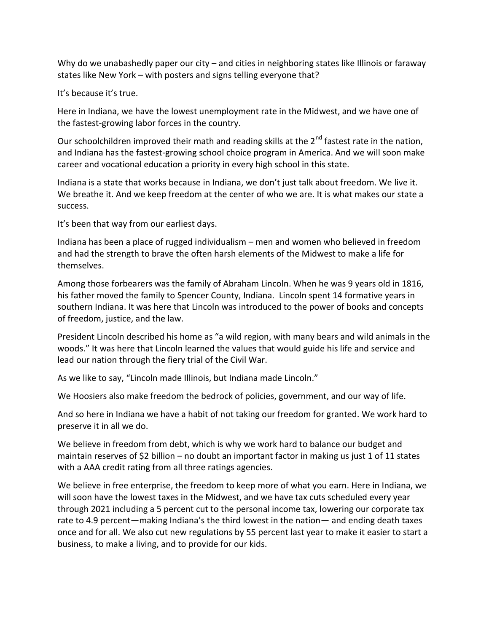Why do we unabashedly paper our city – and cities in neighboring states like Illinois or faraway states like New York – with posters and signs telling everyone that?

It's because it's true.

Here in Indiana, we have the lowest unemployment rate in the Midwest, and we have one of the fastest-growing labor forces in the country.

Our schoolchildren improved their math and reading skills at the 2<sup>nd</sup> fastest rate in the nation, and Indiana has the fastest-growing school choice program in America. And we will soon make career and vocational education a priority in every high school in this state.

Indiana is a state that works because in Indiana, we don't just talk about freedom. We live it. We breathe it. And we keep freedom at the center of who we are. It is what makes our state a success.

It's been that way from our earliest days.

Indiana has been a place of rugged individualism – men and women who believed in freedom and had the strength to brave the often harsh elements of the Midwest to make a life for themselves.

Among those forbearers was the family of Abraham Lincoln. When he was 9 years old in 1816, his father moved the family to Spencer County, Indiana. Lincoln spent 14 formative years in southern Indiana. It was here that Lincoln was introduced to the power of books and concepts of freedom, justice, and the law.

President Lincoln described his home as "a wild region, with many bears and wild animals in the woods." It was here that Lincoln learned the values that would guide his life and service and lead our nation through the fiery trial of the Civil War.

As we like to say, "Lincoln made Illinois, but Indiana made Lincoln."

We Hoosiers also make freedom the bedrock of policies, government, and our way of life.

And so here in Indiana we have a habit of not taking our freedom for granted. We work hard to preserve it in all we do.

We believe in freedom from debt, which is why we work hard to balance our budget and maintain reserves of \$2 billion – no doubt an important factor in making us just 1 of 11 states with a AAA credit rating from all three ratings agencies.

We believe in free enterprise, the freedom to keep more of what you earn. Here in Indiana, we will soon have the lowest taxes in the Midwest, and we have tax cuts scheduled every year through 2021 including a 5 percent cut to the personal income tax, lowering our corporate tax rate to 4.9 percent—making Indiana's the third lowest in the nation— and ending death taxes once and for all. We also cut new regulations by 55 percent last year to make it easier to start a business, to make a living, and to provide for our kids.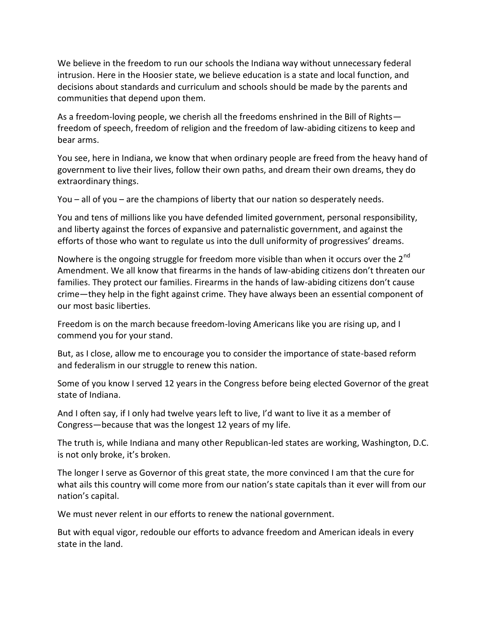We believe in the freedom to run our schools the Indiana way without unnecessary federal intrusion. Here in the Hoosier state, we believe education is a state and local function, and decisions about standards and curriculum and schools should be made by the parents and communities that depend upon them.

As a freedom-loving people, we cherish all the freedoms enshrined in the Bill of Rights freedom of speech, freedom of religion and the freedom of law-abiding citizens to keep and bear arms.

You see, here in Indiana, we know that when ordinary people are freed from the heavy hand of government to live their lives, follow their own paths, and dream their own dreams, they do extraordinary things.

You – all of you – are the champions of liberty that our nation so desperately needs.

You and tens of millions like you have defended limited government, personal responsibility, and liberty against the forces of expansive and paternalistic government, and against the efforts of those who want to regulate us into the dull uniformity of progressives' dreams.

Nowhere is the ongoing struggle for freedom more visible than when it occurs over the  $2^{nd}$ Amendment. We all know that firearms in the hands of law-abiding citizens don't threaten our families. They protect our families. Firearms in the hands of law-abiding citizens don't cause crime—they help in the fight against crime. They have always been an essential component of our most basic liberties.

Freedom is on the march because freedom-loving Americans like you are rising up, and I commend you for your stand.

But, as I close, allow me to encourage you to consider the importance of state-based reform and federalism in our struggle to renew this nation.

Some of you know I served 12 years in the Congress before being elected Governor of the great state of Indiana.

And I often say, if I only had twelve years left to live, I'd want to live it as a member of Congress—because that was the longest 12 years of my life.

The truth is, while Indiana and many other Republican-led states are working, Washington, D.C. is not only broke, it's broken.

The longer I serve as Governor of this great state, the more convinced I am that the cure for what ails this country will come more from our nation's state capitals than it ever will from our nation's capital.

We must never relent in our efforts to renew the national government.

But with equal vigor, redouble our efforts to advance freedom and American ideals in every state in the land.